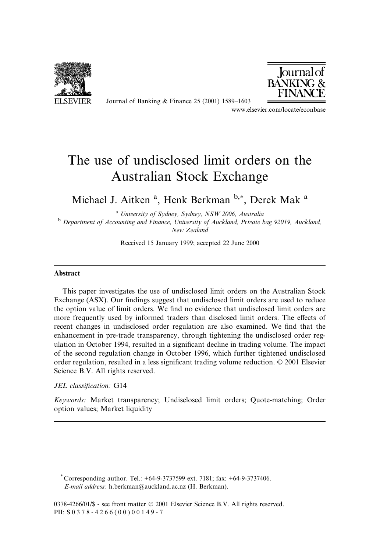

Journal of Banking & Finance 25 (2001) 1589-1603



www.elsevier.com/locate/econbase

# The use of undisclosed limit orders on the Australian Stock Exchange

Michael J. Aitken<sup>a</sup>, Henk Berkman<sup>b,\*</sup>, Derek Mak<sup>a</sup>

<sup>a</sup> University of Sydney, Sydney, NSW 2006, Australia <sup>b</sup> Department of Accounting and Finance, University of Auckland, Private bag 92019, Auckland, New Zealand

Received 15 January 1999; accepted 22 June 2000

### **Abstract**

This paper investigates the use of undisclosed limit orders on the Australian Stock Exchange (ASX). Our findings suggest that undisclosed limit orders are used to reduce the option value of limit orders. We find no evidence that undisclosed limit orders are more frequently used by informed traders than disclosed limit orders. The effects of recent changes in undisclosed order regulation are also examined. We find that the enhancement in pre-trade transparency, through tightening the undisclosed order regulation in October 1994, resulted in a significant decline in trading volume. The impact of the second regulation change in October 1996, which further tightened undisclosed order regulation, resulted in a less significant trading volume reduction. © 2001 Elsevier Science B.V. All rights reserved.

#### JEL classification: G14

Keywords: Market transparency; Undisclosed limit orders; Quote-matching; Order option values; Market liquidity

<sup>\*</sup> Corresponding author. Tel.:  $+64-9-3737599$  ext. 7181; fax:  $+64-9-3737406$ . E-mail address: h.berkman@auckland.ac.nz (H. Berkman).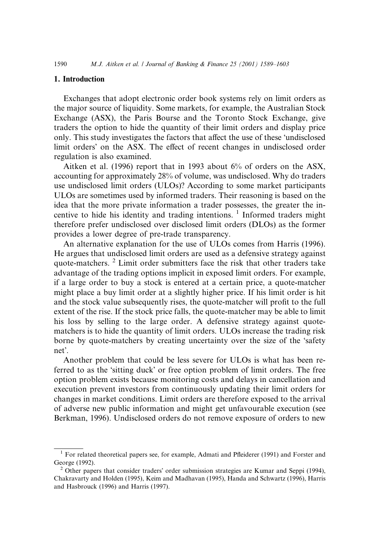### 1. Introduction

Exchanges that adopt electronic order book systems rely on limit orders as the major source of liquidity. Some markets, for example, the Australian Stock Exchange (ASX), the Paris Bourse and the Toronto Stock Exchange, give traders the option to hide the quantity of their limit orders and display price only. This study investigates the factors that affect the use of these 'undisclosed limit orders' on the ASX. The effect of recent changes in undisclosed order regulation is also examined.

Aitken et al.  $(1996)$  report that in 1993 about 6% of orders on the ASX, accounting for approximately 28% of volume, was undisclosed. Why do traders use undisclosed limit orders (ULOs)? According to some market participants ULOs are sometimes used by informed traders. Their reasoning is based on the idea that the more private information a trader possesses, the greater the incentive to hide his identity and trading intentions.  $\frac{1}{1}$  Informed traders might therefore prefer undisclosed over disclosed limit orders (DLOs) as the former provides a lower degree of pre-trade transparency.

An alternative explanation for the use of ULOs comes from Harris (1996). He argues that undisclosed limit orders are used as a defensive strategy against quote-matchers.<sup>2</sup> Limit order submitters face the risk that other traders take advantage of the trading options implicit in exposed limit orders. For example, if a large order to buy a stock is entered at a certain price, a quote-matcher might place a buy limit order at a slightly higher price. If his limit order is hit and the stock value subsequently rises, the quote-matcher will profit to the full extent of the rise. If the stock price falls, the quote-matcher may be able to limit his loss by selling to the large order. A defensive strategy against quotematchers is to hide the quantity of limit orders. ULOs increase the trading risk borne by quote-matchers by creating uncertainty over the size of the 'safety net'.

Another problem that could be less severe for ULOs is what has been referred to as the 'sitting duck' or free option problem of limit orders. The free option problem exists because monitoring costs and delays in cancellation and execution prevent investors from continuously updating their limit orders for changes in market conditions. Limit orders are therefore exposed to the arrival of adverse new public information and might get unfavourable execution (see Berkman, 1996). Undisclosed orders do not remove exposure of orders to new

<sup>&</sup>lt;sup>1</sup> For related theoretical papers see, for example, Admati and Pfleiderer (1991) and Forster and George (1992).

<sup>&</sup>lt;sup>2</sup> Other papers that consider traders' order submission strategies are Kumar and Seppi (1994), Chakravarty and Holden (1995), Keim and Madhavan (1995), Handa and Schwartz (1996), Harris and Hasbrouck (1996) and Harris (1997).